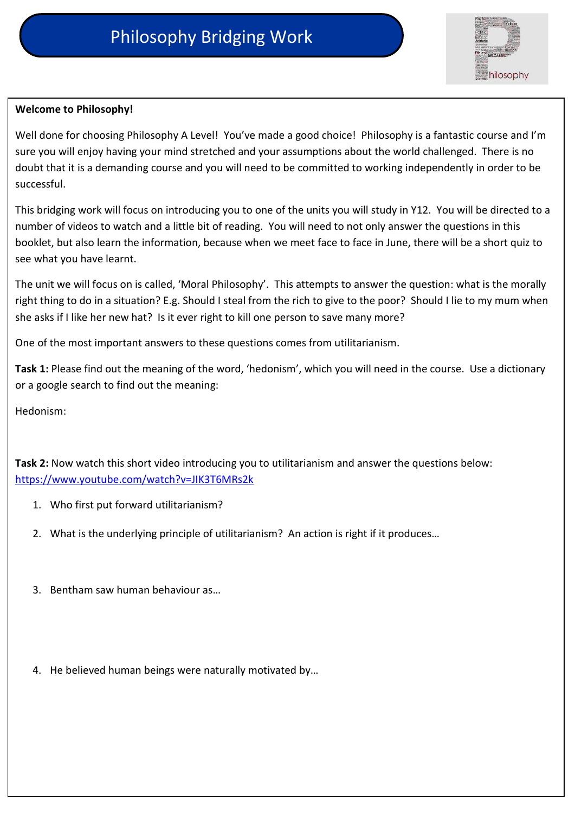

## **Welcome to Philosophy!**

Well done for choosing Philosophy A Level! You've made a good choice! Philosophy is a fantastic course and I'm sure you will enjoy having your mind stretched and your assumptions about the world challenged. There is no doubt that it is a demanding course and you will need to be committed to working independently in order to be successful.

This bridging work will focus on introducing you to one of the units you will study in Y12. You will be directed to a number of videos to watch and a little bit of reading. You will need to not only answer the questions in this booklet, but also learn the information, because when we meet face to face in June, there will be a short quiz to see what you have learnt.

The unit we will focus on is called, 'Moral Philosophy'. This attempts to answer the question: what is the morally right thing to do in a situation? E.g. Should I steal from the rich to give to the poor? Should I lie to my mum when she asks if I like her new hat? Is it ever right to kill one person to save many more?

One of the most important answers to these questions comes from utilitarianism.

**Task 1:** Please find out the meaning of the word, 'hedonism', which you will need in the course. Use a dictionary or a google search to find out the meaning:

Hedonism:

**Task 2:** Now watch this short video introducing you to utilitarianism and answer the questions below: <https://www.youtube.com/watch?v=JIK3T6MRs2k>

- 1. Who first put forward utilitarianism?
- 2. What is the underlying principle of utilitarianism? An action is right if it produces…
- 3. Bentham saw human behaviour as…
- 4. He believed human beings were naturally motivated by…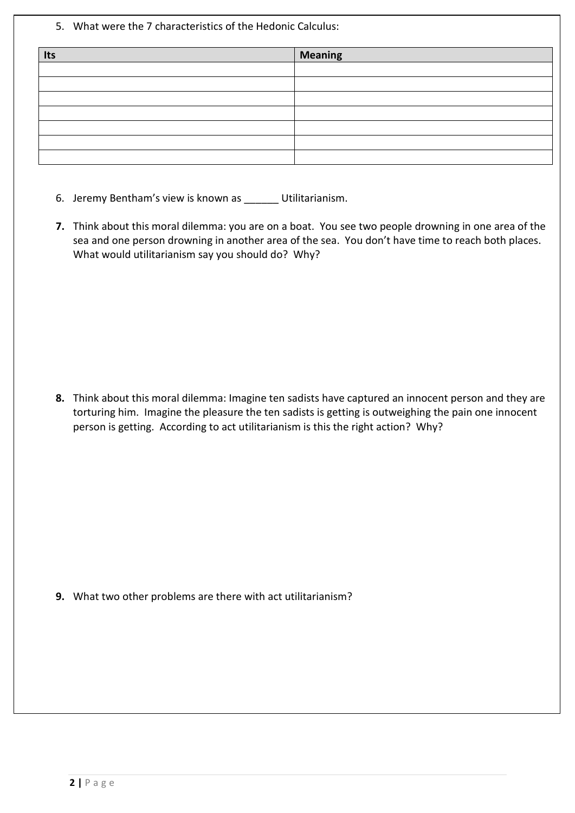5. What were the 7 characteristics of the Hedonic Calculus:

| Its | <b>Meaning</b> |
|-----|----------------|
|     |                |
|     |                |
|     |                |
|     |                |
|     |                |
|     |                |
|     |                |

- 6. Jeremy Bentham's view is known as \_\_\_\_\_\_ Utilitarianism.
- **7.** Think about this moral dilemma: you are on a boat. You see two people drowning in one area of the sea and one person drowning in another area of the sea. You don't have time to reach both places. What would utilitarianism say you should do? Why?

**8.** Think about this moral dilemma: Imagine ten sadists have captured an innocent person and they are torturing him. Imagine the pleasure the ten sadists is getting is outweighing the pain one innocent person is getting. According to act utilitarianism is this the right action? Why?

**9.** What two other problems are there with act utilitarianism?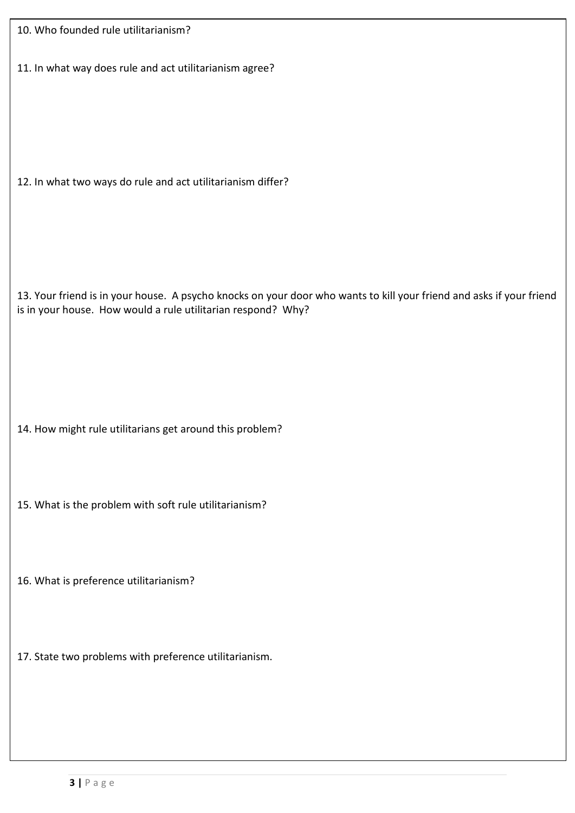| 10. Who founded rule utilitarianism? |  |
|--------------------------------------|--|
|--------------------------------------|--|

11. In what way does rule and act utilitarianism agree?

12. In what two ways do rule and act utilitarianism differ?

13. Your friend is in your house. A psycho knocks on your door who wants to kill your friend and asks if your friend is in your house. How would a rule utilitarian respond? Why?

14. How might rule utilitarians get around this problem?

- 15. What is the problem with soft rule utilitarianism?
- 16. What is preference utilitarianism?
- 17. State two problems with preference utilitarianism.